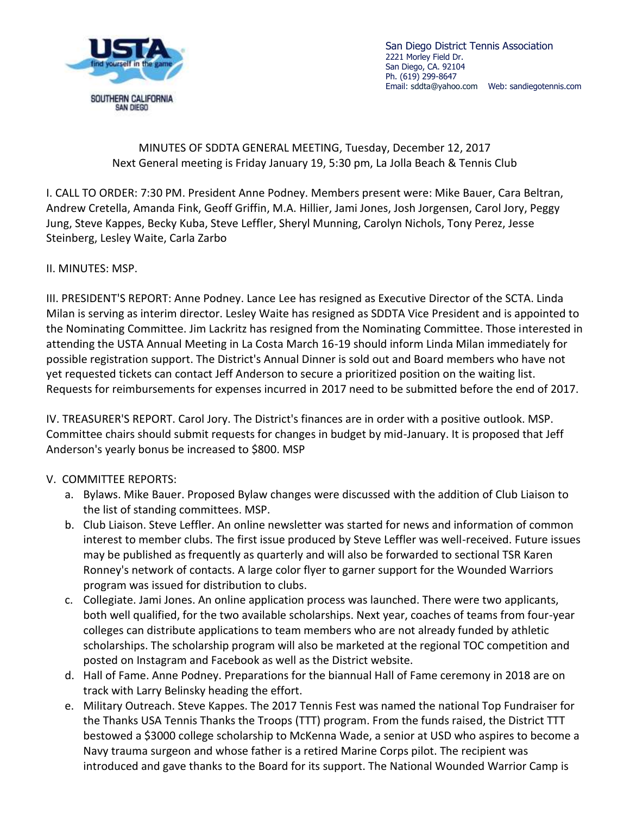

San Diego District Tennis Association 2221 Morley Field Dr. San Diego, CA. 92104 Ph. (619) 299-8647 Email: [sddta@yahoo.com](mailto:sddta@yahoo.com) Web: sandiegotennis.com

## MINUTES OF SDDTA GENERAL MEETING, Tuesday, December 12, 2017 Next General meeting is Friday January 19, 5:30 pm, La Jolla Beach & Tennis Club

I. CALL TO ORDER: 7:30 PM. President Anne Podney. Members present were: Mike Bauer, Cara Beltran, Andrew Cretella, Amanda Fink, Geoff Griffin, M.A. Hillier, Jami Jones, Josh Jorgensen, Carol Jory, Peggy Jung, Steve Kappes, Becky Kuba, Steve Leffler, Sheryl Munning, Carolyn Nichols, Tony Perez, Jesse Steinberg, Lesley Waite, Carla Zarbo

II. MINUTES: MSP.

III. PRESIDENT'S REPORT: Anne Podney. Lance Lee has resigned as Executive Director of the SCTA. Linda Milan is serving as interim director. Lesley Waite has resigned as SDDTA Vice President and is appointed to the Nominating Committee. Jim Lackritz has resigned from the Nominating Committee. Those interested in attending the USTA Annual Meeting in La Costa March 16-19 should inform Linda Milan immediately for possible registration support. The District's Annual Dinner is sold out and Board members who have not yet requested tickets can contact Jeff Anderson to secure a prioritized position on the waiting list. Requests for reimbursements for expenses incurred in 2017 need to be submitted before the end of 2017.

IV. TREASURER'S REPORT. Carol Jory. The District's finances are in order with a positive outlook. MSP. Committee chairs should submit requests for changes in budget by mid-January. It is proposed that Jeff Anderson's yearly bonus be increased to \$800. MSP

## V. COMMITTEE REPORTS:

- a. Bylaws. Mike Bauer. Proposed Bylaw changes were discussed with the addition of Club Liaison to the list of standing committees. MSP.
- b. Club Liaison. Steve Leffler. An online newsletter was started for news and information of common interest to member clubs. The first issue produced by Steve Leffler was well-received. Future issues may be published as frequently as quarterly and will also be forwarded to sectional TSR Karen Ronney's network of contacts. A large color flyer to garner support for the Wounded Warriors program was issued for distribution to clubs.
- c. Collegiate. Jami Jones. An online application process was launched. There were two applicants, both well qualified, for the two available scholarships. Next year, coaches of teams from four-year colleges can distribute applications to team members who are not already funded by athletic scholarships. The scholarship program will also be marketed at the regional TOC competition and posted on Instagram and Facebook as well as the District website.
- d. Hall of Fame. Anne Podney. Preparations for the biannual Hall of Fame ceremony in 2018 are on track with Larry Belinsky heading the effort.
- e. Military Outreach. Steve Kappes. The 2017 Tennis Fest was named the national Top Fundraiser for the Thanks USA Tennis Thanks the Troops (TTT) program. From the funds raised, the District TTT bestowed a \$3000 college scholarship to McKenna Wade, a senior at USD who aspires to become a Navy trauma surgeon and whose father is a retired Marine Corps pilot. The recipient was introduced and gave thanks to the Board for its support. The National Wounded Warrior Camp is